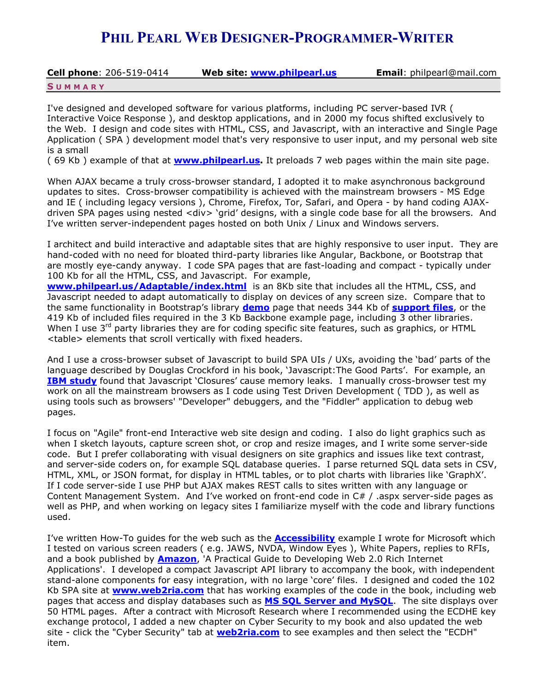# **PHIL PEARL WEB DESIGNER-PROGRAMMER-WRITER**

**Cell phone**: 206-519-0414 **Web site: [www.philpearl.us](http://www.philpearl.us/) Email**: philpearl@mail.com

**S U M M A R Y**

I've designed and developed software for various platforms, including PC server-based IVR ( Interactive Voice Response ), and desktop applications, and in 2000 my focus shifted exclusively to the Web. I design and code sites with HTML, CSS, and Javascript, with an interactive and Single Page Application ( SPA ) development model that's very responsive to user input, and my personal web site is a small

( 69 Kb ) example of that at **[www.philpearl.us.](http://www.philpearl.us/)** It preloads 7 web pages within the main site page.

When AJAX became a truly cross-browser standard, I adopted it to make asynchronous background updates to sites. Cross-browser compatibility is achieved with the mainstream browsers - MS Edge and IE ( including legacy versions ), Chrome, Firefox, Tor, Safari, and Opera - by hand coding AJAXdriven SPA pages using nested <div> 'grid' designs, with a single code base for all the browsers. And I've written server-independent pages hosted on both Unix / Linux and Windows servers.

I architect and build interactive and adaptable sites that are highly responsive to user input. They are hand-coded with no need for bloated third-party libraries like Angular, Backbone, or Bootstrap that are mostly eye-candy anyway. I code SPA pages that are fast-loading and compact - typically under 100 Kb for all the HTML, CSS, and Javascript. For example,

**[www.philpearl.us/Adaptable/index.html](http://www.philpearl.us/Adaptable/index.html)** is an 8Kb site that includes all the HTML, CSS, and Javascript needed to adapt automatically to display on devices of any screen size. Compare that to the same functionality in Bootstrap's library **[demo](http://www.philpearl.us/bootstrapdemo.html)** page that needs 344 Kb of **[support files](http://www.philpearl.us/bootstrapsize.jpg)**, or the 419 Kb of included files required in the 3 Kb Backbone example page, including 3 other libraries. When I use  $3<sup>rd</sup>$  party libraries they are for coding specific site features, such as graphics, or HTML <table> elements that scroll vertically with fixed headers.

And I use a cross-browser subset of Javascript to build SPA UIs / UXs, avoiding the 'bad' parts of the language described by Douglas Crockford in his book, 'Javascript:The Good Parts'. For example, an **[IBM study](http://www.ibm.com/developerworks/library/wa-sieve/)** found that Javascript 'Closures' cause memory leaks. I manually cross-browser test my work on all the mainstream browsers as I code using Test Driven Development ( TDD ), as well as using tools such as browsers' "Developer" debuggers, and the "Fiddler" application to debug web pages.

I focus on "Agile" front-end Interactive web site design and coding. I also do light graphics such as when I sketch layouts, capture screen shot, or crop and resize images, and I write some server-side code. But I prefer collaborating with visual designers on site graphics and issues like text contrast, and server-side coders on, for example SQL database queries. I parse returned SQL data sets in CSV, HTML, XML, or JSON format, for display in HTML tables, or to plot charts with libraries like 'GraphX'. If I code server-side I use PHP but AJAX makes REST calls to sites written with any language or Content Management System. And I've worked on front-end code in C# / .aspx server-side pages as well as PHP, and when working on legacy sites I familiarize myself with the code and library functions used.

I've written How-To guides for the web such as the **[Accessibility](http://philpearl.us/samples/popupdialog/)** example I wrote for Microsoft which I tested on various screen readers ( e.g. JAWS, NVDA, Window Eyes ), White Papers, replies to RFIs, and a book published by **[Amazon](http://www.amazon.com/Practical-Guide-Developing-Internet-Applications/dp/1491283416)**, 'A Practical Guide to Developing Web 2.0 Rich Internet Applications'. I developed a compact Javascript API library to accompany the book, with independent stand-alone components for easy integration, with no large 'core' files. I designed and coded the 102 Kb SPA site at **[www.web2ria.com](http://www.web2ria.com/)** that has working examples of the code in the book, including web pages that access and display databases such as **MS [SQL Server and MySQL](http://www.web2ria.com/#86)**. The site displays over 50 HTML pages. After a contract with Microsoft Research where I recommended using the ECDHE key exchange protocol, I added a new chapter on Cyber Security to my book and also updated the web site - click the "Cyber Security" tab at **[web2ria.com](../../Users/Phil/AppData/Roaming/Microsoft/Word/www.web2ria.com)** to see examples and then select the "ECDH" item.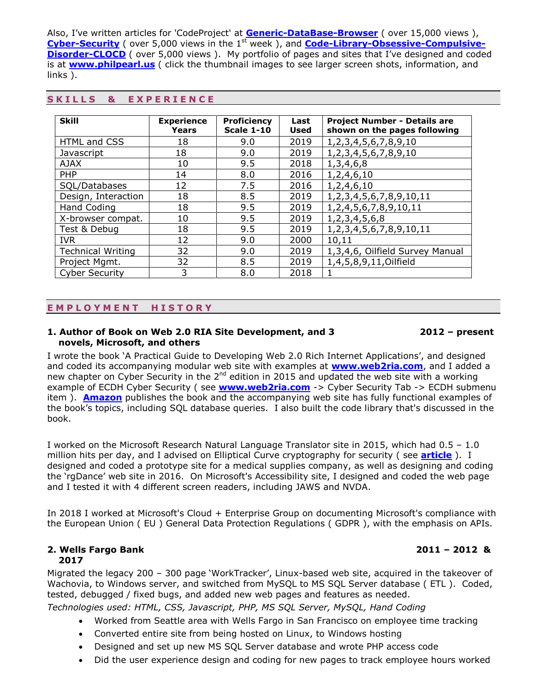Also, I've written articles for 'CodeProject' at **[Generic-DataBase-Browser](http://www.codeproject.com/Articles/710640/Generic-DataBase-Browser)** ( over 15,000 views ), **[Cyber-Security](https://www.codeproject.com/Articles/1258144/Cyber-Security)** (over 5,000 views in the 1<sup>st</sup> week), and **[Code-Library-Obsessive-Compulsive-](http://www.codeproject.com/Articles/1108299/Code-Library-Obsessive-Compulsive-Disorder-CLOCD?msg=5265532#xx5265532xx)[Disorder-CLOCD](http://www.codeproject.com/Articles/1108299/Code-Library-Obsessive-Compulsive-Disorder-CLOCD?msg=5265532#xx5265532xx)** (over 5,000 views). My portfolio of pages and sites that I've designed and coded is at **[www.philpearl.us](http://www.philpearl.us/)** ( click the thumbnail images to see larger screen shots, information, and links ).

| <b>Skill</b>             | <b>Experience</b><br>Years | <b>Proficiency</b><br><b>Scale 1-10</b> | Last<br><b>Used</b> | <b>Project Number - Details are</b><br>shown on the pages following |
|--------------------------|----------------------------|-----------------------------------------|---------------------|---------------------------------------------------------------------|
| HTML and CSS             | 18                         | 9.0                                     | 2019                | 1, 2, 3, 4, 5, 6, 7, 8, 9, 10                                       |
| Javascript               | 18                         | 9.0                                     | 2019                | 1, 2, 3, 4, 5, 6, 7, 8, 9, 10                                       |
| <b>AJAX</b>              | 10                         | 9.5                                     | 2018                | 1,3,4,6,8                                                           |
| <b>PHP</b>               | 14                         | 8.0                                     | 2016                | 1,2,4,6,10                                                          |
| SQL/Databases            | 12                         | 7.5                                     | 2016                | 1,2,4,6,10                                                          |
| Design, Interaction      | 18                         | 8.5                                     | 2019                | 1, 2, 3, 4, 5, 6, 7, 8, 9, 10, 11                                   |
| <b>Hand Coding</b>       | 18                         | 9.5                                     | 2019                | 1, 2, 4, 5, 6, 7, 8, 9, 10, 11                                      |
| X-browser compat.        | 10                         | 9.5                                     | 2019                | 1, 2, 3, 4, 5, 6, 8                                                 |
| Test & Debug             | 18                         | 9.5                                     | 2019                | 1, 2, 3, 4, 5, 6, 7, 8, 9, 10, 11                                   |
| <b>IVR</b>               | 12                         | 9.0                                     | 2000                | 10,11                                                               |
| <b>Technical Writing</b> | 32                         | 9.0                                     | 2019                | 1,3,4,6, Oilfield Survey Manual                                     |
| Project Mgmt.            | 32                         | 8.5                                     | 2019                | 1,4,5,8,9,11, Oilfield                                              |
| <b>Cyber Security</b>    | 3                          | 8.0                                     | 2018                |                                                                     |

### **S K I L L S & E X P E R I E N C E**

# **E M P L O Y M E N T H I S T O R Y**

### **1. Author of Book on Web 2.0 RIA Site Development, and 3 2012 – present novels, Microsoft, and others**

I wrote the book 'A Practical Guide to Developing Web 2.0 Rich Internet Applications', and designed and coded its accompanying modular web site with examples at **[www.web2ria.com](http://www.web2ria.com/)**, and I added a new chapter on Cyber Security in the 2<sup>nd</sup> edition in 2015 and updated the web site with a working example of ECDH Cyber Security ( see **[www.web2ria.com](http://www.web2ria.com/)** -> Cyber Security Tab -> ECDH submenu item ). **[Amazon](http://www.amazon.com/Practical-Guide-Developing-Internet-Applications/dp/1491283416)** publishes the book and the accompanying web site has fully functional examples of the book's topics, including SQL database queries. I also built the code library that's discussed in the book.

I worked on the Microsoft Research Natural Language Translator site in 2015, which had 0.5 – 1.0 million hits per day, and I advised on Elliptical Curve cryptography for security ( see **[article](https://arstechnica.com/information-technology/2017/10/crypto-failure-cripples-millions-of-high-security-keys-750k-estonian-ids/)** ). I designed and coded a prototype site for a medical supplies company, as well as designing and coding the 'rgDance' web site in 2016. On Microsoft's Accessibility site, I designed and coded the web page and I tested it with 4 different screen readers, including JAWS and NVDA.

In 2018 I worked at Microsoft's Cloud + Enterprise Group on documenting Microsoft's compliance with the European Union ( EU ) General Data Protection Regulations ( GDPR ), with the emphasis on APIs.

#### **2. Wells Fargo Bank 2011 – 2012 & 2017**

Migrated the legacy 200 – 300 page 'WorkTracker', Linux-based web site, acquired in the takeover of Wachovia, to Windows server, and switched from MySQL to MS SQL Server database ( ETL ). Coded, tested, debugged / fixed bugs, and added new web pages and features as needed.

*Technologies used: HTML, CSS, Javascript, PHP, MS SQL Server, MySQL, Hand Coding*

- Worked from Seattle area with Wells Fargo in San Francisco on employee time tracking
- Converted entire site from being hosted on Linux, to Windows hosting
- Designed and set up new MS SQL Server database and wrote PHP access code
- Did the user experience design and coding for new pages to track employee hours worked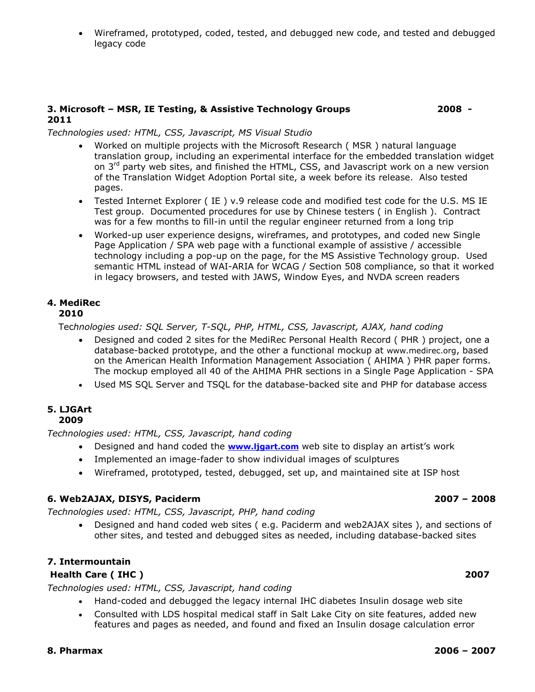Wireframed, prototyped, coded, tested, and debugged new code, and tested and debugged legacy code

#### **3. Microsoft – MSR, IE Testing, & Assistive Technology Groups 2008 - 2011**

### *Technologies used: HTML, CSS, Javascript, MS Visual Studio*

- Worked on multiple projects with the Microsoft Research ( MSR ) natural language translation group, including an experimental interface for the embedded translation widget on  $3<sup>rd</sup>$  party web sites, and finished the HTML, CSS, and Javascript work on a new version of the Translation Widget Adoption Portal site, a week before its release. Also tested pages.
- Tested Internet Explorer ( IE ) v.9 release code and modified test code for the U.S. MS IE Test group. Documented procedures for use by Chinese testers ( in English ). Contract was for a few months to fill-in until the regular engineer returned from a long trip
- Worked-up user experience designs, wireframes, and prototypes, and coded new Single Page Application / SPA web page with a functional example of assistive / accessible technology including a pop-up on the page, for the MS Assistive Technology group. Used semantic HTML instead of WAI-ARIA for WCAG / Section 508 compliance, so that it worked in legacy browsers, and tested with JAWS, Window Eyes, and NVDA screen readers

# **4. MediRec**

# **2010**

Tec*hnologies used: SQL Server, T-SQL, PHP, HTML, CSS, Javascript, AJAX, hand coding*

- Designed and coded 2 sites for the MediRec Personal Health Record ( PHR ) project, one a database-backed prototype, and the other a functional mockup at www.medirec.org, based on the American Health Information Management Association ( AHIMA ) PHR paper forms. The mockup employed all 40 of the AHIMA PHR sections in a Single Page Application - SPA
- Used MS SQL Server and TSQL for the database-backed site and PHP for database access

#### **5. LJGArt 2009**

*Technologies used: HTML, CSS, Javascript, hand coding*

- Designed and hand coded the **[www.ljgart.com](http://www.ljgart.com/)** web site to display an artist's work
- Implemented an image-fader to show individual images of sculptures
- Wireframed, prototyped, tested, debugged, set up, and maintained site at ISP host

### **6. Web2AJAX, DISYS, Paciderm 2007 – 2008**

*Technologies used: HTML, CSS, Javascript, PHP, hand coding*

 Designed and hand coded web sites ( e.g. Paciderm and web2AJAX sites ), and sections of other sites, and tested and debugged sites as needed, including database-backed sites

# **7. Intermountain**

### **Health Care ( IHC ) 2007**

*Technologies used: HTML, CSS, Javascript, hand coding*

- Hand-coded and debugged the legacy internal IHC diabetes Insulin dosage web site
- Consulted with LDS hospital medical staff in Salt Lake City on site features, added new features and pages as needed, and found and fixed an Insulin dosage calculation error

### **8. Pharmax 2006 – 2007**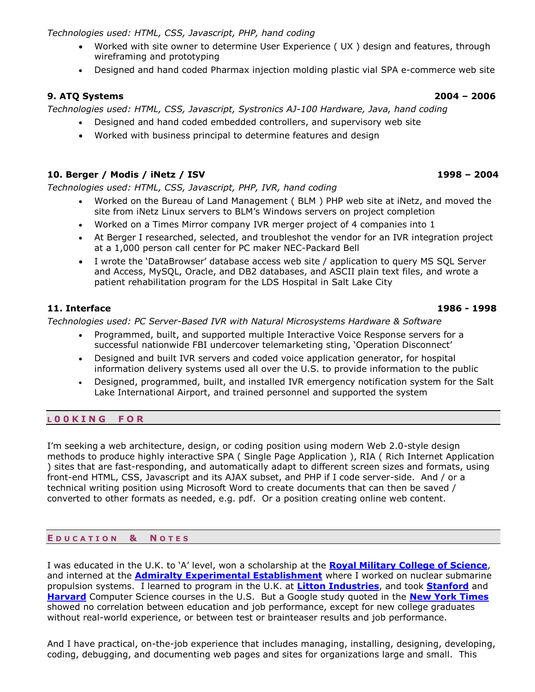*Technologies used: HTML, CSS, Javascript, PHP, hand coding*

- Worked with site owner to determine User Experience ( UX ) design and features, through wireframing and prototyping
- Designed and hand coded Pharmax injection molding plastic vial SPA e-commerce web site

# **9. ATQ Systems 2004 – 2006**

*Technologies used: HTML, CSS, Javascript, Systronics AJ-100 Hardware, Java, hand coding*

- Designed and hand coded embedded controllers, and supervisory web site
- Worked with business principal to determine features and design

# **10. Berger / Modis / iNetz / ISV 1998 – 2004**

*Technologies used: HTML, CSS, Javascript, PHP, IVR, hand coding*

- Worked on the Bureau of Land Management ( BLM ) PHP web site at iNetz, and moved the site from iNetz Linux servers to BLM's Windows servers on project completion
- Worked on a Times Mirror company IVR merger project of 4 companies into 1
- At Berger I researched, selected, and troubleshot the vendor for an IVR integration project at a 1,000 person call center for PC maker NEC-Packard Bell
- I wrote the 'DataBrowser' database access web site / application to query MS SQL Server and Access, MySQL, Oracle, and DB2 databases, and ASCII plain text files, and wrote a patient rehabilitation program for the LDS Hospital in Salt Lake City

# **11. Interface 1986 - 1998**

*Technologies used: PC Server-Based IVR with Natural Microsystems Hardware & Software*

- Programmed, built, and supported multiple Interactive Voice Response servers for a successful nationwide FBI undercover telemarketing sting, 'Operation Disconnect'
- Designed and built IVR servers and coded voice application generator, for hospital information delivery systems used all over the U.S. to provide information to the public
- Designed, programmed, built, and installed IVR emergency notification system for the Salt Lake International Airport, and trained personnel and supported the system

# **L 0 0 K I N G F O R**

I'm seeking a web architecture, design, or coding position using modern Web 2.0-style design methods to produce highly interactive SPA ( Single Page Application ), RIA ( Rich Internet Application ) sites that are fast-responding, and automatically adapt to different screen sizes and formats, using front-end HTML, CSS, Javascript and its AJAX subset, and PHP if I code server-side. And / or a technical writing position using Microsoft Word to create documents that can then be saved / converted to other formats as needed, e.g. pdf. Or a position creating online web content.

# **E D U C A T I O N & N O T E S**

I was educated in the U.K. to 'A' level, won a scholarship at the **[Royal Military College of Science](http://www.forces-war-records.co.uk/216/Royal_Military_College_of_Science)**, and interned at the **[Admiralty Experimental Establishment](http://www.engineering-timelines.com/scripts/engineeringItem.asp?id=443)** where I worked on nuclear submarine propulsion systems. I learned to program in the U.K. at **[Litton Industries](http://www.littoncorp.com/litton-industries.asp)**, and took **[Stanford](http://openclassroom.stanford.edu/MainFolder/CoursePage.php?course=HCI)** and **[Harvard](http://cs75.tv/2010/fall/)** Computer Science courses in the U.S. But a Google study quoted in the **[New York Times](http://www.nytimes.com/2013/06/20/business/in-head-hunting-big-data-may-not-be-such-a-big-deal.html?_r=0)** showed no correlation between education and job performance, except for new college graduates without real-world experience, or between test or brainteaser results and job performance.

And I have practical, on-the-job experience that includes managing, installing, designing, developing, coding, debugging, and documenting web pages and sites for organizations large and small. This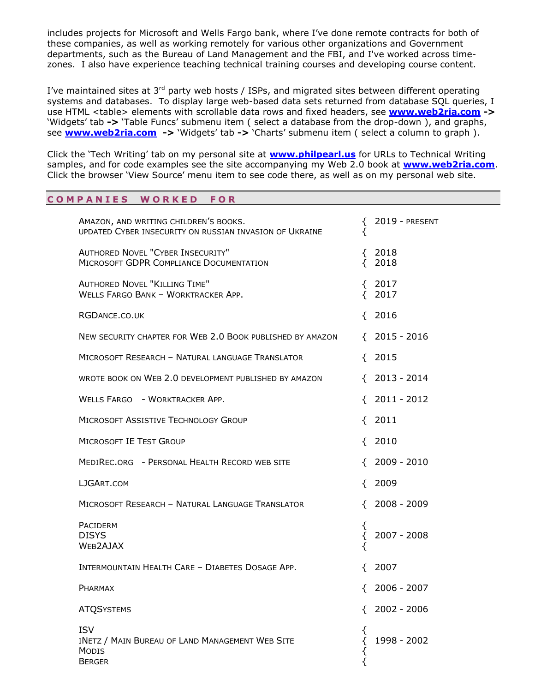includes projects for Microsoft and Wells Fargo bank, where I've done remote contracts for both of these companies, as well as working remotely for various other organizations and Government departments, such as the Bureau of Land Management and the FBI, and I've worked across timezones. I also have experience teaching technical training courses and developing course content.

I've maintained sites at  $3^{rd}$  party web hosts / ISPs, and migrated sites between different operating systems and databases. To display large web-based data sets returned from database SQL queries, I use HTML <table> elements with scrollable data rows and fixed headers, see **[www.web2ria.com](http://www.web2ria.com/) ->**  'Widgets' tab **->** 'Table Funcs' submenu item ( select a database from the drop-down ), and graphs, see **[www.web2ria.com](http://www.web2ria.com/) ->** 'Widgets' tab **->** 'Charts' submenu item ( select a column to graph ).

Click the 'Tech Writing' tab on my personal site at **[www.philpearl.us](http://www.philpearl.us/)** for URLs to Technical Writing samples, and for code examples see the site accompanying my Web 2.0 book at **[www.web2ria.com](http://www.web2ria.com/)**. Click the browser 'View Source' menu item to see code there, as well as on my personal web site.

# **C O M P A N I E S W O R K E D F O R**

| AMAZON, AND WRITING CHILDREN'S BOOKS.<br>UPDATED CYBER INSECURITY ON RUSSIAN INVASION OF UKRAINE | ₹<br>₹      | $2019$ - PRESENT      |
|--------------------------------------------------------------------------------------------------|-------------|-----------------------|
| <b>AUTHORED NOVEL "CYBER INSECURITY"</b><br>MICROSOFT GDPR COMPLIANCE DOCUMENTATION              |             | ${2018}$<br>$\{$ 2018 |
| <b>AUTHORED NOVEL "KILLING TIME"</b><br>WELLS FARGO BANK - WORKTRACKER APP.                      |             | ${2017}$<br>$\{2017$  |
| RGDANCE.CO.UK                                                                                    |             | $\{$ 2016             |
| NEW SECURITY CHAPTER FOR WEB 2.0 BOOK PUBLISHED BY AMAZON                                        |             | $\{$ 2015 - 2016      |
| MICROSOFT RESEARCH - NATURAL LANGUAGE TRANSLATOR                                                 |             | $\{$ 2015             |
| WROTE BOOK ON WEB 2.0 DEVELOPMENT PUBLISHED BY AMAZON                                            |             | $\{$ 2013 - 2014      |
| WELLS FARGO - WORKTRACKER APP.                                                                   |             | $\{$ 2011 - 2012      |
| MICROSOFT ASSISTIVE TECHNOLOGY GROUP                                                             |             | $\{$ 2011             |
| <b>MICROSOFT IE TEST GROUP</b>                                                                   |             | $\{$ 2010             |
| MEDIREC.ORG - PERSONAL HEALTH RECORD WEB SITE                                                    |             | $\{$ 2009 - 2010      |
| LJGART.COM                                                                                       |             | $\{2009\}$            |
| MICROSOFT RESEARCH - NATURAL LANGUAGE TRANSLATOR                                                 |             | $\{$ 2008 - 2009      |
| PACIDERM<br><b>DISYS</b><br>WEB2AJAX                                                             | {<br>₹<br>₹ | $2007 - 2008$         |
| INTERMOUNTAIN HEALTH CARE - DIABETES DOSAGE APP.                                                 |             | $\{2007$              |
| PHARMAX                                                                                          |             | 2006 - 2007           |
| <b>ATQSYSTEMS</b>                                                                                |             | $\{$ 2002 - 2006      |
| <b>ISV</b><br>INETZ / MAIN BUREAU OF LAND MANAGEMENT WEB SITE<br>MODIS<br><b>BERGER</b>          | ₹<br>₹<br>₹ | 1998 - 2002           |